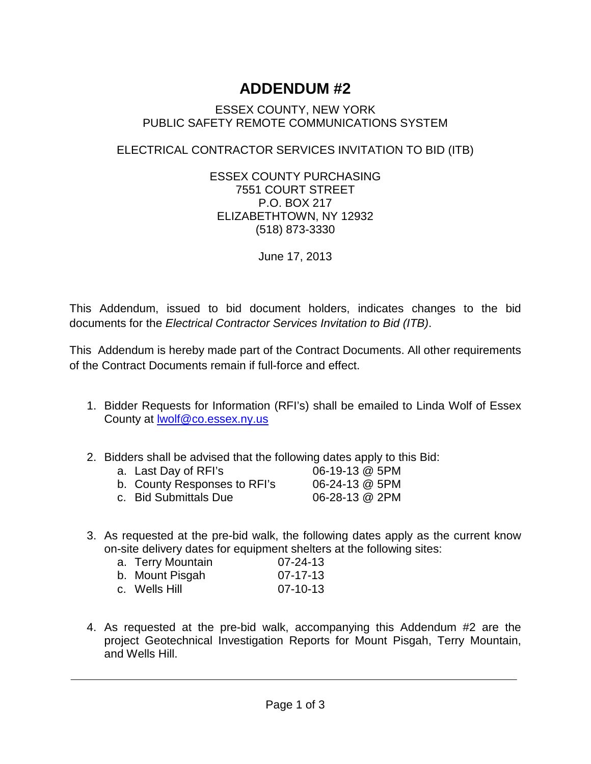## **ADDENDUM #2**

## ESSEX COUNTY, NEW YORK PUBLIC SAFETY REMOTE COMMUNICATIONS SYSTEM

## ELECTRICAL CONTRACTOR SERVICES INVITATION TO BID (ITB)

ESSEX COUNTY PURCHASING 7551 COURT STREET P.O. BOX 217 ELIZABETHTOWN, NY 12932 (518) 873-3330

June 17, 2013

This Addendum, issued to bid document holders, indicates changes to the bid documents for the *Electrical Contractor Services Invitation to Bid (ITB)*.

This Addendum is hereby made part of the Contract Documents. All other requirements of the Contract Documents remain if full-force and effect.

- 1. Bidder Requests for Information (RFI's) shall be emailed to Linda Wolf of Essex County at [lwolf@co.essex.ny.us](mailto:lwolf@co.essex.ny.us)
- 2. Bidders shall be advised that the following dates apply to this Bid:

| a. Last Day of RFI's         | 06-19-13 @ 5PM |
|------------------------------|----------------|
| b. County Responses to RFI's | 06-24-13 @ 5PM |
| c. Bid Submittals Due        | 06-28-13 @ 2PM |

3. As requested at the pre-bid walk, the following dates apply as the current know on-site delivery dates for equipment shelters at the following sites:

| a. Terry Mountain | $07 - 24 - 13$ |
|-------------------|----------------|
| b. Mount Pisgah   | 07-17-13       |
| c. Wells Hill     | 07-10-13       |

4. As requested at the pre-bid walk, accompanying this Addendum #2 are the project Geotechnical Investigation Reports for Mount Pisgah, Terry Mountain, and Wells Hill.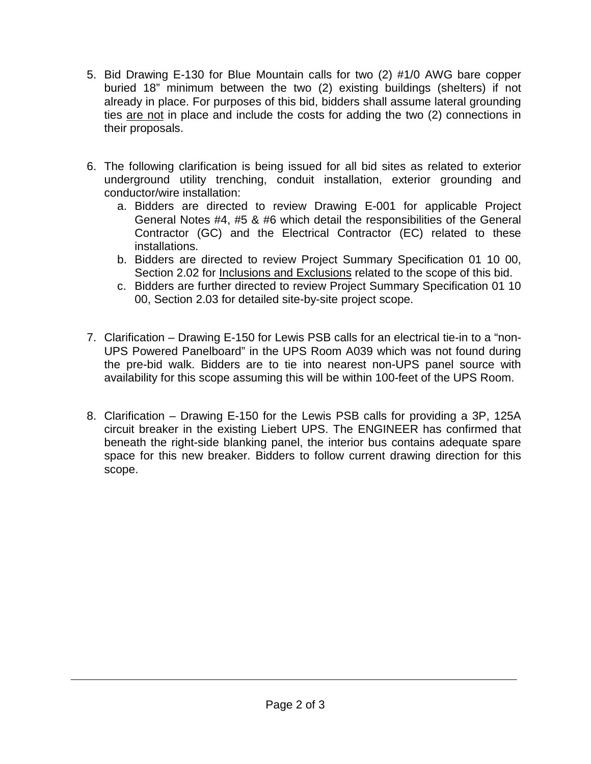- 5. Bid Drawing E-130 for Blue Mountain calls for two (2) #1/0 AWG bare copper buried 18" minimum between the two (2) existing buildings (shelters) if not already in place. For purposes of this bid, bidders shall assume lateral grounding ties are not in place and include the costs for adding the two (2) connections in their proposals.
- 6. The following clarification is being issued for all bid sites as related to exterior underground utility trenching, conduit installation, exterior grounding and conductor/wire installation:
	- a. Bidders are directed to review Drawing E-001 for applicable Project General Notes #4, #5 & #6 which detail the responsibilities of the General Contractor (GC) and the Electrical Contractor (EC) related to these installations.
	- b. Bidders are directed to review Project Summary Specification 01 10 00, Section 2.02 for Inclusions and Exclusions related to the scope of this bid.
	- c. Bidders are further directed to review Project Summary Specification 01 10 00, Section 2.03 for detailed site-by-site project scope.
- 7. Clarification Drawing E-150 for Lewis PSB calls for an electrical tie-in to a "non-UPS Powered Panelboard" in the UPS Room A039 which was not found during the pre-bid walk. Bidders are to tie into nearest non-UPS panel source with availability for this scope assuming this will be within 100-feet of the UPS Room.
- 8. Clarification Drawing E-150 for the Lewis PSB calls for providing a 3P, 125A circuit breaker in the existing Liebert UPS. The ENGINEER has confirmed that beneath the right-side blanking panel, the interior bus contains adequate spare space for this new breaker. Bidders to follow current drawing direction for this scope.